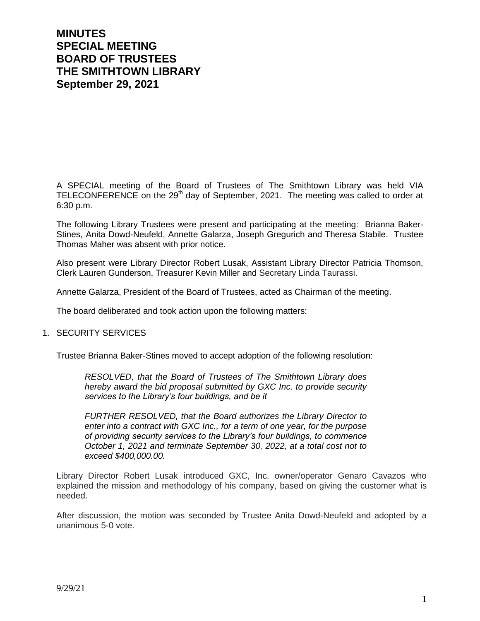# **MINUTES SPECIAL MEETING BOARD OF TRUSTEES THE SMITHTOWN LIBRARY September 29, 2021**

A SPECIAL meeting of the Board of Trustees of The Smithtown Library was held VIA TELECONFERENCE on the 29<sup>th</sup> day of September, 2021. The meeting was called to order at 6:30 p.m.

The following Library Trustees were present and participating at the meeting: Brianna Baker-Stines, Anita Dowd-Neufeld, Annette Galarza, Joseph Gregurich and Theresa Stabile. Trustee Thomas Maher was absent with prior notice.

Also present were Library Director Robert Lusak, Assistant Library Director Patricia Thomson, Clerk Lauren Gunderson, Treasurer Kevin Miller and Secretary Linda Taurassi.

Annette Galarza, President of the Board of Trustees, acted as Chairman of the meeting.

The board deliberated and took action upon the following matters:

#### 1. SECURITY SERVICES

Trustee Brianna Baker-Stines moved to accept adoption of the following resolution:

*RESOLVED, that the Board of Trustees of The Smithtown Library does hereby award the bid proposal submitted by GXC Inc. to provide security services to the Library's four buildings, and be it* 

*FURTHER RESOLVED, that the Board authorizes the Library Director to enter into a contract with GXC Inc., for a term of one year, for the purpose of providing security services to the Library's four buildings, to commence October 1, 2021 and terminate September 30, 2022, at a total cost not to exceed \$400,000.00.*

Library Director Robert Lusak introduced GXC, Inc. owner/operator Genaro Cavazos who explained the mission and methodology of his company, based on giving the customer what is needed.

After discussion, the motion was seconded by Trustee Anita Dowd-Neufeld and adopted by a unanimous 5-0 vote.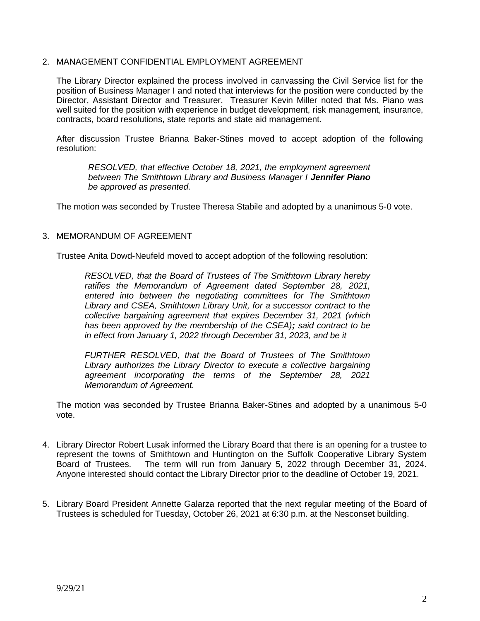### 2. MANAGEMENT CONFIDENTIAL EMPLOYMENT AGREEMENT

The Library Director explained the process involved in canvassing the Civil Service list for the position of Business Manager I and noted that interviews for the position were conducted by the Director, Assistant Director and Treasurer. Treasurer Kevin Miller noted that Ms. Piano was well suited for the position with experience in budget development, risk management, insurance, contracts, board resolutions, state reports and state aid management.

After discussion Trustee Brianna Baker-Stines moved to accept adoption of the following resolution:

*RESOLVED, that effective October 18, 2021, the employment agreement between The Smithtown Library and Business Manager I Jennifer Piano be approved as presented.*

The motion was seconded by Trustee Theresa Stabile and adopted by a unanimous 5-0 vote.

### 3. MEMORANDUM OF AGREEMENT

Trustee Anita Dowd-Neufeld moved to accept adoption of the following resolution:

*RESOLVED, that the Board of Trustees of The Smithtown Library hereby ratifies the Memorandum of Agreement dated September 28, 2021, entered into between the negotiating committees for The Smithtown Library and CSEA, Smithtown Library Unit, for a successor contract to the collective bargaining agreement that expires December 31, 2021 (which has been approved by the membership of the CSEA); said contract to be in effect from January 1, 2022 through December 31, 2023, and be it* 

*FURTHER RESOLVED, that the Board of Trustees of The Smithtown Library authorizes the Library Director to execute a collective bargaining agreement incorporating the terms of the September 28, 2021 Memorandum of Agreement.*

The motion was seconded by Trustee Brianna Baker-Stines and adopted by a unanimous 5-0 vote.

- 4. Library Director Robert Lusak informed the Library Board that there is an opening for a trustee to represent the towns of Smithtown and Huntington on the Suffolk Cooperative Library System Board of Trustees. The term will run from January 5, 2022 through December 31, 2024. Anyone interested should contact the Library Director prior to the deadline of October 19, 2021.
- 5. Library Board President Annette Galarza reported that the next regular meeting of the Board of Trustees is scheduled for Tuesday, October 26, 2021 at 6:30 p.m. at the Nesconset building.